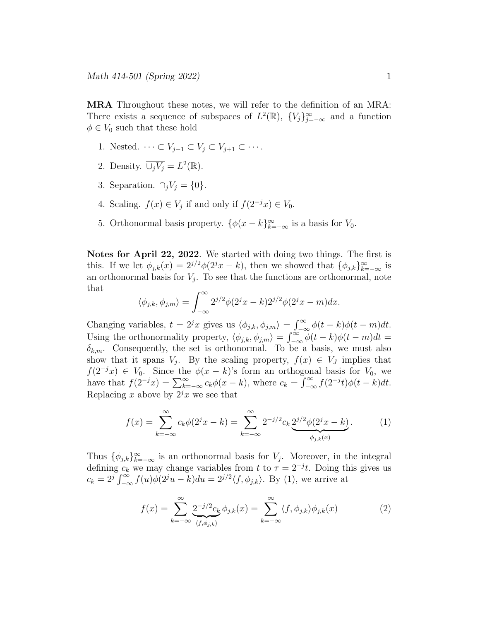MRA Throughout these notes, we will refer to the definition of an MRA: There exists a sequence of subspaces of  $L^2(\mathbb{R})$ ,  $\{V_j\}_{j=-\infty}^{\infty}$  and a function  $\phi \in V_0$  such that these hold

- 1. Nested.  $\cdots \subset V_{i-1} \subset V_i \subset V_{i+1} \subset \cdots$ .
- 2. Density.  $\overline{\cup_j V_j} = L^2(\mathbb{R})$ .
- 3. Separation.  $\cap_j V_j = \{0\}.$
- 4. Scaling.  $f(x) \in V_j$  if and only if  $f(2^{-j}x) \in V_0$ .
- 5. Orthonormal basis property.  $\{\phi(x-k)\}_{k=-\infty}^{\infty}$  is a basis for  $V_0$ .

Notes for April 22, 2022. We started with doing two things. The first is this. If we let  $\phi_{j,k}(x) = 2^{j/2}\phi(2^jx - k)$ , then we showed that  $\{\phi_{j,k}\}_{k=-\infty}^{\infty}$  is an orthonormal basis for  $V_j$ . To see that the functions are orthonormal, note that

$$
\langle \phi_{j,k}, \phi_{j,m} \rangle = \int_{-\infty}^{\infty} 2^{j/2} \phi(2^j x - k) 2^{j/2} \phi(2^j x - m) dx.
$$

Changing variables,  $t = 2^j x$  gives us  $\langle \phi_{j,k}, \phi_{j,m} \rangle = \int_{-\infty}^{\infty} \phi(t - k) \phi(t - m) dt$ . Using the orthonormality property,  $\langle \phi_{j,k}, \phi_{j,m} \rangle = \int_{-\infty}^{\infty} \phi(t-k) \phi(t-m) dt =$  $\delta_{k,m}$ . Consequently, the set is orthonormal. To be a basis, we must also show that it spans  $V_j$ . By the scaling property,  $f(x) \in V_j$  implies that  $f(2^{-j}x) \in V_0$ . Since the  $\phi(x-k)$ 's form an orthogonal basis for  $V_0$ , we have that  $f(2^{-j}x) = \sum_{k=-\infty}^{\infty} c_k \phi(x-k)$ , where  $c_k = \int_{-\infty}^{\infty} f(2^{-j}t) \phi(t-k) dt$ . Replacing x above by  $2^{j}x$  we see that

$$
f(x) = \sum_{k=-\infty}^{\infty} c_k \phi(2^j x - k) = \sum_{k=-\infty}^{\infty} 2^{-j/2} c_k \underbrace{2^{j/2} \phi(2^j x - k)}_{\phi_{j,k}(x)}.
$$
 (1)

Thus  $\{\phi_{j,k}\}_{k=-\infty}^{\infty}$  is an orthonormal basis for  $V_j$ . Moreover, in the integral defining  $c_k$  we may change variables from t to  $\tau = 2^{-j}t$ . Doing this gives us  $c_k = 2^j \int_{-\infty}^{\infty} f(u) \phi(2^j u - \kappa) du = 2^{j/2} \langle f, \phi_{j,k} \rangle$ . By (1), we arrive at

$$
f(x) = \sum_{k=-\infty}^{\infty} \underbrace{2^{-j/2}c_k}_{\langle f, \phi_{j,k} \rangle} \phi_{j,k}(x) = \sum_{k=-\infty}^{\infty} \langle f, \phi_{j,k} \rangle \phi_{j,k}(x) \tag{2}
$$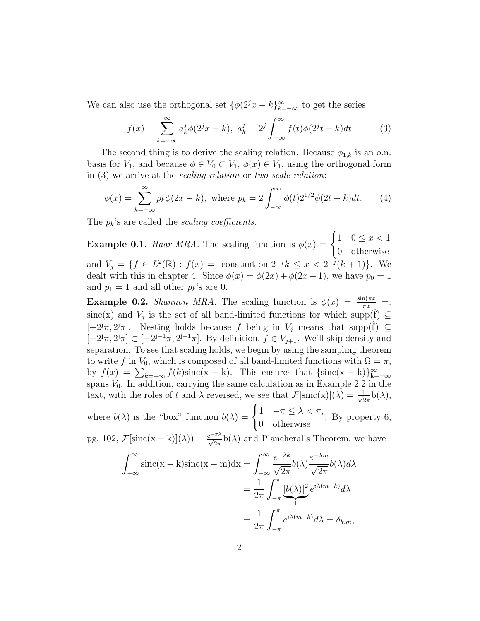We can also use the orthogonal set  $\{\phi(2^jx - k)\}_{k=-\infty}^{\infty}$  to get the series

$$
f(x) = \sum_{k=-\infty}^{\infty} a_k^j \phi(2^j x - k), \ a_k^j = 2^j \int_{-\infty}^{\infty} f(t) \phi(2^j t - k) dt \tag{3}
$$

The second thing is to derive the scaling relation. Because  $\phi_{1,k}$  is an o.n. basis for  $V_1$ , and because  $\phi \in V_0 \subset V_1$ ,  $\phi(x) \in V_1$ , using the orthogonal form in (3) we arrive at the scaling relation or two-scale relation:

$$
\phi(x) = \sum_{k=-\infty}^{\infty} p_k \phi(2x - k), \text{ where } p_k = 2 \int_{-\infty}^{\infty} \phi(t) 2^{1/2} \phi(2t - k) dt. \tag{4}
$$

The  $p_k$ 's are called the *scaling coefficients*.

**Example 0.1.** Haar MRA. The scaling function is  $\phi(x) = \begin{cases} 1 & 0 \leq x < 1 \\ 0 & \text{otherwise} \end{cases}$ 0 otherwise and  $V_j = \{ f \in L^2(\mathbb{R}) : f(x) = \text{ constant on } 2^{-j}k \leq x < 2^{-j}(k+1) \}.$  We dealt with this in chapter 4. Since  $\phi(x) = \phi(2x) + \phi(2x - 1)$ , we have  $p_0 = 1$ and  $p_1 = 1$  and all other  $p_k$ 's are 0.

**Example 0.2.** Shannon MRA. The scaling function is  $\phi(x) = \frac{\sin(\pi x)}{\pi x}$  =: sinc(x) and  $V_j$  is the set of all band-limited functions for which supp( $\hat{f}$ )  $\subseteq$ [-2<sup>j</sup>π, 2<sup>j</sup>π]. Nesting holds because f being in  $V_j$  means that supp( $\hat{f}$ ) ⊆  $[-2<sup>j</sup>π, 2<sup>j</sup>π] \subset [-2<sup>j+1</sup>π, 2<sup>j+1</sup>π]$ . By definition,  $f \in V_{j+1}$ . We'll skip density and separation. To see that scaling holds, we begin by using the sampling theorem to write f in  $V_0$ , which is composed of all band-limited functions with  $\Omega = \pi$ , by  $f(x) = \sum_{k=-\infty} f(k) \operatorname{sinc}(x - k)$ . This ensures that  $\{\operatorname{sinc}(x - k)\}_{k=-\infty}^{\infty}$ spans  $V_0$ . In addition, carrying the same calculation as in Example 2.2 in the text, with the roles of t and  $\lambda$  reversed, we see that  $\mathcal{F}[\text{sinc}(x)](\lambda) = \frac{1}{\sqrt{2}}$  $rac{1}{2\pi}b(\lambda),$ 

where  $b(\lambda)$  is the "box" function  $b(\lambda) = \begin{cases} 1 & -\pi \leq \lambda < \pi, \\ 0 & \mu \leq \pi. \end{cases}$ 0 otherwise . By property 6,

pg. 102,  $\mathcal{F}[\text{sinc}(x-k)](\lambda)) = \frac{e^{-\pi\lambda}}{\sqrt{2\pi}}b(\lambda)$  and Plancheral's Theorem, we have

$$
\int_{-\infty}^{\infty} \text{sinc}(\mathbf{x} - \mathbf{k}) \text{sinc}(\mathbf{x} - \mathbf{m}) \, \mathrm{d}\mathbf{x} = \int_{-\infty}^{\infty} \frac{e^{-\lambda k}}{\sqrt{2\pi}} b(\lambda) \frac{\overline{e^{-\lambda m}}}{\sqrt{2\pi}} b(\lambda) \, \mathrm{d}\lambda
$$
\n
$$
= \frac{1}{2\pi} \int_{-\pi}^{\pi} \underbrace{|b(\lambda)|^2}_{1} e^{i\lambda(m-k)} \, \mathrm{d}\lambda
$$
\n
$$
= \frac{1}{2\pi} \int_{-\pi}^{\pi} e^{i\lambda(m-k)} \, \mathrm{d}\lambda = \delta_{k,m},
$$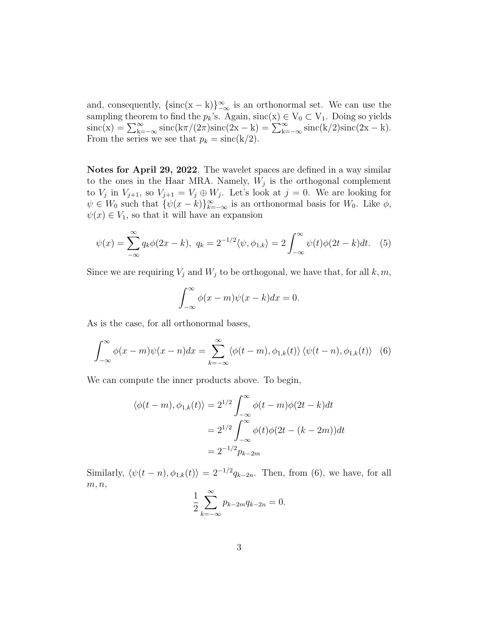and, consequently,  $\{\text{sinc}(x - k)\}_{-\infty}^{\infty}$  is an orthonormal set. We can use the sampling theorem to find the  $p_k$ 's. Again, sinc $(x) \in V_0 \subset V_1$ . Doing so yields  $\text{sinc}(x) = \sum_{k=-\infty}^{\infty} \text{sinc}(k\pi/(2\pi)\text{sinc}(2x - k) = \sum_{k=-\infty}^{\infty} \text{sinc}(k/2)\text{sinc}(2x - k).$ From the series we see that  $p_k = \text{sinc}(k/2)$ .

Notes for April 29, 2022. The wavelet spaces are defined in a way similar to the ones in the Haar MRA. Namely,  $W_j$  is the orthogonal complement to  $V_j$  in  $V_{j+1}$ , so  $V_{j+1} = V_j \oplus W_j$ . Let's look at  $j = 0$ . We are looking for  $\psi \in W_0$  such that  $\{\psi(x-k)\}_{k=-\infty}^{\infty}$  is an orthonormal basis for  $W_0$ . Like  $\phi$ ,  $\psi(x) \in V_1$ , so that it will have an expansion

$$
\psi(x) = \sum_{-\infty}^{\infty} q_k \phi(2x - k), \ q_k = 2^{-1/2} \langle \psi, \phi_{1,k} \rangle = 2 \int_{-\infty}^{\infty} \psi(t) \phi(2t - k) dt. \tag{5}
$$

Since we are requiring  $V_j$  and  $W_j$  to be orthogonal, we have that, for all  $k, m$ ,

$$
\int_{-\infty}^{\infty} \phi(x - m)\psi(x - k)dx = 0.
$$

As is the case, for all orthonormal bases,

$$
\int_{-\infty}^{\infty} \phi(x - m)\psi(x - n)dx = \sum_{k=-\infty}^{\infty} \langle \phi(t - m), \phi_{1,k}(t) \rangle \langle \psi(t - n), \phi_{1,k}(t) \rangle
$$
 (6)

We can compute the inner products above. To begin,

$$
\langle \phi(t-m), \phi_{1,k}(t) \rangle = 2^{1/2} \int_{-\infty}^{\infty} \phi(t-m)\phi(2t-k)dt
$$
  

$$
= 2^{1/2} \int_{-\infty}^{\infty} \phi(t)\phi(2t-(k-2m))dt
$$
  

$$
= 2^{-1/2}p_{k-2m}
$$

Similarly,  $\langle \psi(t - n), \phi_{1,k}(t) \rangle = 2^{-1/2} q_{k-2n}$ . Then, from (6), we have, for all  $m, n,$ 

$$
\frac{1}{2} \sum_{k=-\infty}^{\infty} p_{k-2m} q_{k-2n} = 0.
$$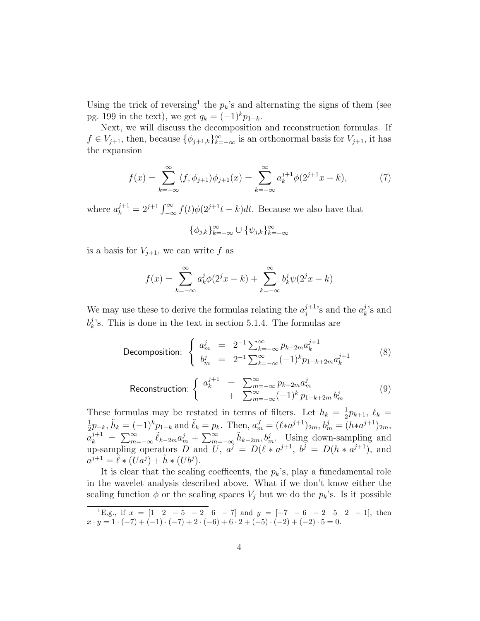Using the trick of reversing<sup>1</sup> the  $p_k$ 's and alternating the signs of them (see pg. 199 in the text), we get  $q_k = (-1)^k p_{1-k}$ .

Next, we will discuss the decomposition and reconstruction formulas. If  $f \in V_{j+1}$ , then, because  $\{\phi_{j+1,k}\}_{k=-\infty}^{\infty}$  is an orthonormal basis for  $V_{j+1}$ , it has the expansion

$$
f(x) = \sum_{k=-\infty}^{\infty} \langle f, \phi_{j+1} \rangle \phi_{j+1}(x) = \sum_{k=-\infty}^{\infty} a_k^{j+1} \phi(2^{j+1}x - k), \tag{7}
$$

where  $a_k^{j+1} = 2^{j+1} \int_{-\infty}^{\infty} f(t) \phi(2^{j+1}t - k) dt$ . Because we also have that

$$
\{\phi_{j,k}\}_{k=-\infty}^{\infty} \cup \{\psi_{j,k}\}_{k=-\infty}^{\infty}
$$

is a basis for  $V_{i+1}$ , we can write f as

$$
f(x) = \sum_{k=-\infty}^{\infty} a_k^j \phi(2^j x - k) + \sum_{k=-\infty}^{\infty} b_k^j \psi(2^j x - k)
$$

We may use these to derive the formulas relating the  $a_j^{j+1}$  $j^{j+1}$ 's and the  $a_k^j$  $\frac{j}{k}$ 's and  $b^j_k$  $\lambda_k^j$ 's. This is done in the text in section 5.1.4. The formulas are

Decomposition: 
$$
\begin{cases} a_m^j = 2^{-1} \sum_{k=-\infty}^{\infty} p_{k-2m} a_k^{j+1} \\ b_m^j = 2^{-1} \sum_{k=-\infty}^{\infty} (-1)^k p_{1-k+2m} a_k^{j+1} \end{cases}
$$
 (8)

$$
\text{Reconstruction:} \begin{cases} a_k^{j+1} = \sum_{m=-\infty}^{\infty} p_{k-2m} a_m^j \\ + \sum_{m=-\infty}^{\infty} (-1)^k p_{1-k+2m} b_m^j \end{cases} \tag{9}
$$

These formulas may be restated in terms of filters. Let  $h_k = \frac{1}{2}$  $\frac{1}{2}p_{k+1}, \ell_k =$ 1  $\frac{1}{2}p_{-k}, \tilde{h}_k = (-1)^k p_{1-k}$  and  $\tilde{\ell}_k = p_k$ . Then,  $a_m^J = (\ell * a^{j+1})_{2m}, b_m^j = (h * a^{j+1})_{2m}$ ,  $\tilde{a}_k^{j+1} = \sum_{m=-\infty}^{\infty} \tilde{\ell}_{k-2m} a_m^j + \sum_{m=-\infty}^{\infty} \tilde{h}_{k-2m}, b_m^j$ . Using down-sampling and up-sampling operators D and U,  $a^j = D(\ell * a^{j+1}, b^j = D(h * a^{j+1}),$  and  $a^{\tilde{j}+1} = \tilde{\ell} * (\tilde{U}a^{\tilde{j}}) + \tilde{h} * (Ub^{\tilde{j}}).$ 

It is clear that the scaling coefficents, the  $p_k$ 's, play a funcdamental role in the wavelet analysis described above. What if we don't know either the scaling function  $\phi$  or the scaling spaces  $V_j$  but we do the  $p_k$ 's. Is it possible

<sup>&</sup>lt;sup>1</sup>E.g., if  $x = \begin{bmatrix} 1 & 2 & -5 & -2 & 6 & -7 \end{bmatrix}$  and  $y = \begin{bmatrix} -7 & -6 & -2 & 5 & 2 & -1 \end{bmatrix}$ , then  $x \cdot y = 1 \cdot (-7) + (-1) \cdot (-7) + 2 \cdot (-6) + 6 \cdot 2 + (-5) \cdot (-2) + (-2) \cdot 5 = 0.$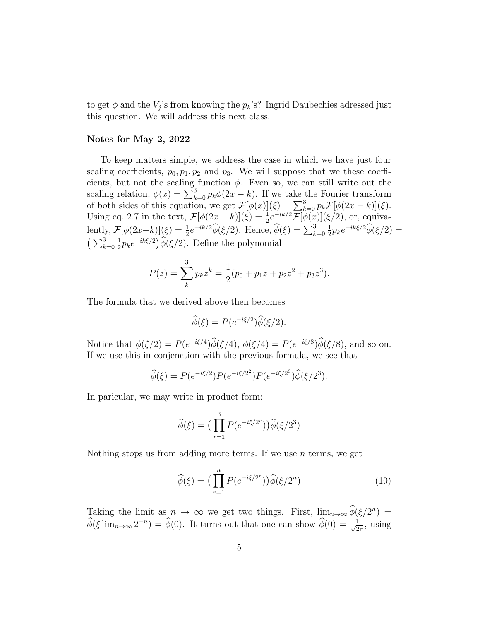to get  $\phi$  and the  $V_j$ 's from knowing the  $p_k$ 's? Ingrid Daubechies adressed just this question. We will address this next class.

## Notes for May 2, 2022

To keep matters simple, we address the case in which we have just four scaling coefficients,  $p_0, p_1, p_2$  and  $p_3$ . We will suppose that we these coefficients, but not the scaling function  $\phi$ . Even so, we can still write out the scaling relation,  $\phi(x) = \sum_{k=0}^{3} p_k \phi(2x - k)$ . If we take the Fourier transform of both sides of this equation, we get  $\mathcal{F}[\phi(x)](\xi) = \sum_{k=0}^{3} p_k \mathcal{F}[\phi(2x-k)](\xi)$ . Using eq. 2.7 in the text,  $\mathcal{F}[\phi(2x-k)](\xi) = \frac{1}{2}e^{-ik/2}\mathcal{F}[\phi(x)](\xi/2)$ , or, equivalently,  $\mathcal{F}[\phi(2x-k)](\xi) = \frac{1}{2}e^{-ik/2}\widehat{\phi}(\xi/2)$ . Hence,  $\widehat{\phi}(\xi) = \sum_{k=0}^{3}$ 1  $\frac{1}{2}p_k e^{-ik\xi/2}\widehat{\phi}(\xi/2) =$  $\left(\sum_{k=0}^{3}\right)$ 1  $\frac{1}{2}p_k e^{-ik\xi/2}$   $\hat{\phi}(\xi/2)$ . Define the polynomial

$$
P(z) = \sum_{k}^{3} p_k z^k = \frac{1}{2}(p_0 + p_1 z + p_2 z^2 + p_3 z^3).
$$

The formula that we derived above then becomes

$$
\widehat{\phi}(\xi) = P(e^{-i\xi/2})\widehat{\phi}(\xi/2).
$$

Notice that  $\phi(\xi/2) = P(e^{-i\xi/4})\widetilde{\phi}(\xi/4), \ \phi(\xi/4) = P(e^{-i\xi/8})\widetilde{\phi}(\xi/8)$ , and so on. If we use this in conjenction with the previous formula, we see that

$$
\widehat{\phi}(\xi) = P(e^{-i\xi/2})P(e^{-i\xi/2^2})P(e^{-i\xi/2^3})\widehat{\phi}(\xi/2^3).
$$

In paricular, we may write in product form:

$$
\widehat{\phi}(\xi) = \left(\prod_{r=1}^{3} P(e^{-i\xi/2^r})\right) \widehat{\phi}(\xi/2^3)
$$

Nothing stops us from adding more terms. If we use  $n$  terms, we get

$$
\widehat{\phi}(\xi) = \left(\prod_{r=1}^{n} P(e^{-i\xi/2^r})\right) \widehat{\phi}(\xi/2^n) \tag{10}
$$

Taking the limit as  $n \to \infty$  we get two things. First,  $\lim_{n\to\infty} \phi(\xi/2^n) =$  $\widehat{\phi}(\xi)$  lim<sub>n→∞</sub> 2<sup>-n</sup>) =  $\widehat{\phi}(0)$ . It turns out that one can show  $\widehat{\phi}(0) = \frac{1}{\sqrt{2}}$  $\frac{1}{2\pi}$ , using